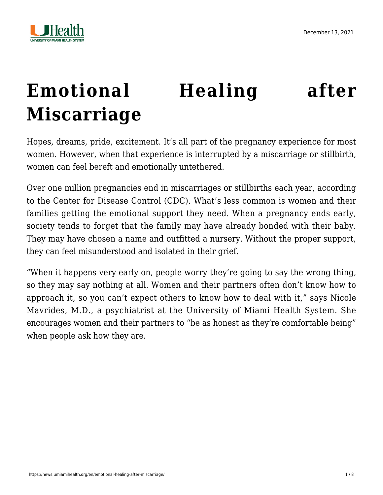

# **[Emotional Healing after](https://news.umiamihealth.org/en/emotional-healing-after-miscarriage/) [Miscarriage](https://news.umiamihealth.org/en/emotional-healing-after-miscarriage/)**

Hopes, dreams, pride, excitement. It's all part of the pregnancy experience for most women. However, when that experience is interrupted by a miscarriage or stillbirth, women can feel bereft and emotionally untethered.

Over one million pregnancies end in miscarriages or stillbirths each year, according to the Center for Disease Control (CDC). What's less common is women and their families getting the emotional support they need. When a pregnancy ends early, society tends to forget that the family may have already bonded with their baby. They may have chosen a name and outfitted a nursery. Without the proper support, they can feel misunderstood and isolated in their grief.

"When it happens very early on, people worry they're going to say the wrong thing, so they may say nothing at all. Women and their partners often don't know how to approach it, so you can't expect others to know how to deal with it," says [Nicole](https://doctors.umiamihealth.org/provider/Nicole+Ann+Mavrides/524929?name=Nicole%20Ann%20Mavrides&sort=relevance&tt=95af1ba4-7bdd-4e16-a896-68063dcc52f8&ut=48a61286-0fa5-4d28-a291-df15b2678f1f×tamp=2021-12-09T16%3A32%3A50.918Z&from=search-list) [Mavrides, M.D.](https://doctors.umiamihealth.org/provider/Nicole+Ann+Mavrides/524929?name=Nicole%20Ann%20Mavrides&sort=relevance&tt=95af1ba4-7bdd-4e16-a896-68063dcc52f8&ut=48a61286-0fa5-4d28-a291-df15b2678f1f×tamp=2021-12-09T16%3A32%3A50.918Z&from=search-list), a psychiatrist at the University of Miami Health System. She encourages women and their partners to "be as honest as they're comfortable being" when people ask how they are.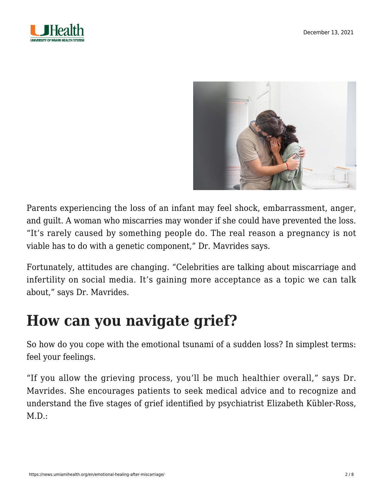



Parents experiencing the loss of an infant may feel shock, embarrassment, anger, and guilt. A woman who miscarries may wonder if she could have prevented the loss. "It's rarely caused by something people do. The real reason a pregnancy is not viable has to do with a genetic component," Dr. Mavrides says.

Fortunately, attitudes are changing. "Celebrities are talking about miscarriage and infertility on social media. It's gaining more acceptance as a topic we can talk about," says Dr. Mavrides.

### **How can you navigate grief?**

So how do you cope with the emotional tsunami of a sudden loss? In simplest terms: feel your feelings.

"If you allow the grieving process, you'll be much healthier overall," says Dr. Mavrides. She encourages patients to seek medical advice and to recognize and understand the five stages of grief identified by psychiatrist Elizabeth Kübler-Ross,  $M.D.:$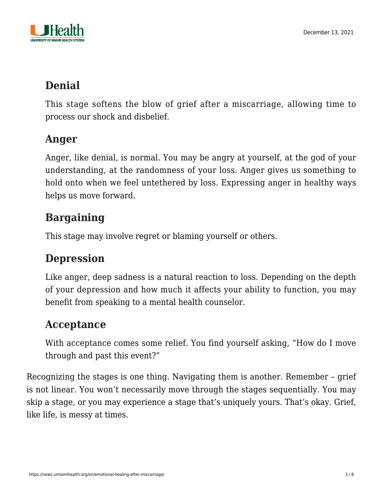

### **Denial**

This stage softens the blow of grief after a miscarriage, allowing time to process our shock and disbelief.

#### **Anger**

Anger, like denial, is normal. You may be angry at yourself, at the god of your understanding, at the randomness of your loss. Anger gives us something to hold onto when we feel untethered by loss. Expressing anger in healthy ways helps us move forward.

### **Bargaining**

This stage may involve regret or blaming yourself or others.

### **Depression**

Like anger, deep sadness is a natural reaction to loss. Depending on the depth of your depression and how much it affects your ability to function, you may benefit from speaking to a mental health counselor.

#### **Acceptance**

With acceptance comes some relief. You find yourself asking, "[How do I move](https://news.umiamihealth.org/en/build-up-resiliency-in-good-times-and-bad/) [through and past this event?"](https://news.umiamihealth.org/en/build-up-resiliency-in-good-times-and-bad/)

Recognizing the stages is one thing. Navigating them is another. Remember – grief is not linear. You won't necessarily move through the stages sequentially. You may skip a stage, or you may experience a stage that's uniquely yours. That's okay. Grief, like life, is messy at times.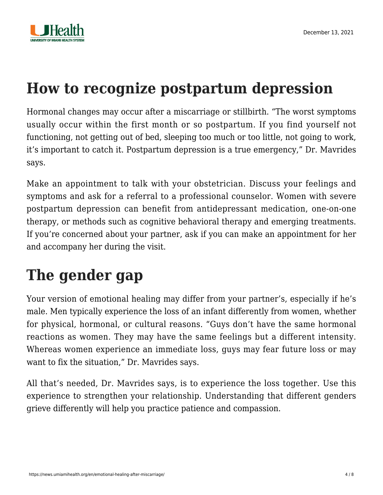

# **How to recognize postpartum depression**

Hormonal changes may occur after a miscarriage or stillbirth. "The worst symptoms usually occur within the first month or so postpartum. If you find yourself not functioning, not getting out of bed, sleeping too much or too little, not going to work, it's important to catch it. [Postpartum depression](https://news.umiamihealth.org/en/postpartum-depression-in-a-pandemic/) is a true emergency," Dr. Mavrides says.

Make an appointment to talk with your obstetrician. Discuss your feelings and symptoms and ask for a referral to a professional counselor. Women with severe postpartum depression can benefit from antidepressant medication, one-on-one therapy, or methods such as cognitive behavioral therapy and [emerging treatments.](https://news.umiamihealth.org/en/treatment-for-depression-a-new-hope/) If you're [concerned about your partner,](https://news.umiamihealth.org/en/your-loved-ones-mental-health/) ask if you can make an appointment for her and accompany her during the visit.

# **The gender gap**

Your version of emotional healing may differ from your partner's, especially if he's male. Men typically experience the loss of an infant differently from women, whether for physical, hormonal, or cultural reasons. "Guys don't have the same hormonal reactions as women. They may have the same feelings but a different intensity. Whereas women experience an immediate loss, guys may fear future loss or may want to fix the situation," Dr. Mavrides says.

All that's needed, Dr. Mavrides says, is to experience the loss together. Use this experience to strengthen your relationship. Understanding that different genders grieve differently will help you practice patience and compassion.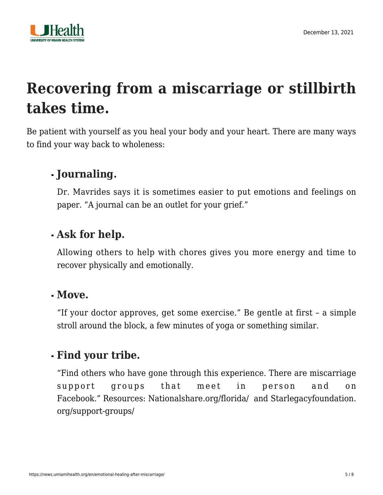

# **Recovering from a miscarriage or stillbirth takes time.**

Be patient with yourself as you heal your body and your heart. There are many ways to find your way back to wholeness:

### **Journaling.**

Dr. Mavrides says it is sometimes easier to put emotions and feelings on paper. "A journal can be an outlet for your grief."

#### **Ask for help.**

Allowing others to help with chores gives you more energy and time to recover physically and emotionally.

#### **Move.**

"If your doctor approves, get some exercise." Be gentle at first – a simple stroll around the block, a few minutes of yoga or something similar.

#### **Find your tribe.**

"Find others who have gone through this experience. There are miscarriage support groups that meet in person and on Facebook." Resources: [Nationalshare.org/florida/](https://nationalshare.org/florida/) and [Starlegacyfoundation.](https://starlegacyfoundation.org/support-groups/) [org/support-groups/](https://starlegacyfoundation.org/support-groups/)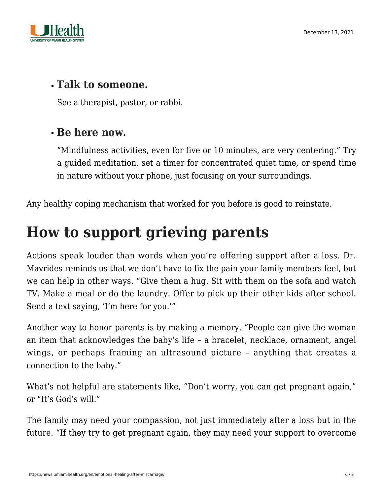

#### **Talk to someone.**

See a therapist, pastor, or rabbi.

#### **Be here now.**

"Mindfulness activities, even for five or 10 minutes, are very centering." Try a guided meditation, set a timer for concentrated quiet time, or spend time in nature without your phone, just focusing on your surroundings.

Any healthy coping mechanism that worked for you before is good to reinstate.

# **How to support grieving parents**

Actions speak louder than words when you're offering support after a loss. Dr. Mavrides reminds us that we don't have to fix the pain your family members feel, but we can help in other ways. "Give them a hug. Sit with them on the sofa and watch TV. Make a meal or do the laundry. Offer to pick up their other kids after school. Send a text saying, 'I'm here for you.'"

Another way to honor parents is by making a memory. "People can give the woman an item that acknowledges the baby's life – a bracelet, necklace, ornament, angel wings, or perhaps framing an ultrasound picture – anything that creates a connection to the baby."

What's not helpful are statements like, "Don't worry, you can get pregnant again," or "It's God's will."

The family may need your compassion, not just immediately after a loss but in the future. "If they try to get pregnant again, they may need your support to overcome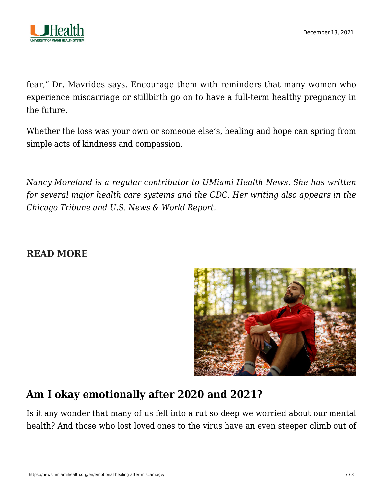

fear," Dr. Mavrides says. Encourage them with reminders that many women who experience miscarriage or stillbirth go on to have a full-term healthy pregnancy in the future.

Whether the loss was your own or someone else's, healing and hope can spring from simple acts of kindness and compassion.

*Nancy Moreland is a regular contributor to UMiami Health News. She has written for several major health care systems and the CDC. Her writing also appears in the Chicago Tribune and U.S. News & World Report.*

#### **READ MORE**



#### **[Am I okay emotionally after 2020 and 2021?](https://news.umiamihealth.org/en/being-mentally-okay-after-the-pandemic/)**

Is it any wonder that many of us fell into a rut so deep we worried about our mental health? And those who lost loved ones to the virus have an even steeper climb out of